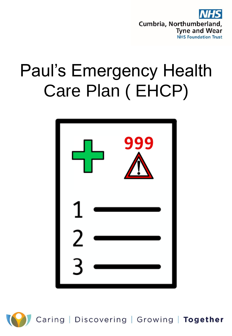

## Paul's Emergency Health Care Plan ( EHCP)



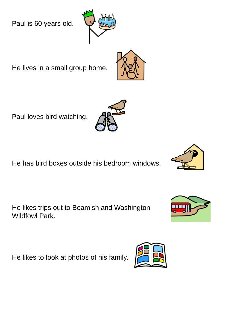Paul is 60 years old.

He lives in a small group home.

Paul loves bird watching.

He has bird boxes outside his bedroom windows.

He likes trips out to Beamish and Washington Wildfowl Park.

He likes to look at photos of his family.









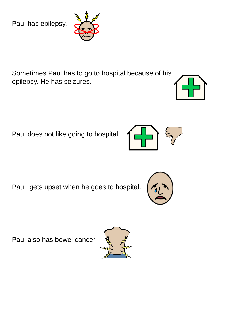Paul has epilepsy.



Sometimes Paul has to go to hospital because of his epilepsy. He has seizures.

Paul does not like going to hospital.



Paul gets upset when he goes to hospital.

Paul also has bowel cancer.





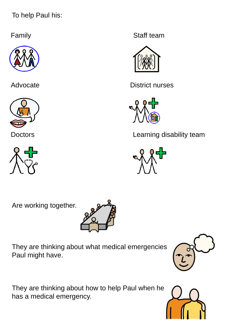To help Paul his:







Family **Family Staff team** 



Advocate District nurses



Doctors **Learning disability team** 



Are working together.



They are thinking about what medical emergencies Paul might have.

They are thinking about how to help Paul when he has a medical emergency.



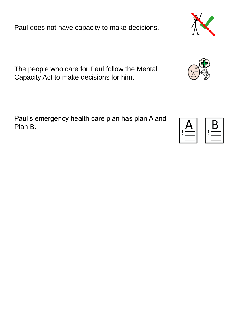Paul does not have capacity to make decisions.

The people who care for Paul follow the Mental Capacity Act to make decisions for him.

Paul's emergency health care plan has plan A and Plan B.



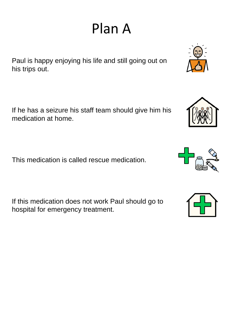Paul is happy enjoying his life and still going out on his trips out.

If he has a seizure his staff team should give him his medication at home.

This medication is called rescue medication.

If this medication does not work Paul should go to hospital for emergency treatment.







## Plan A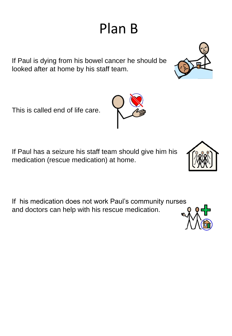## Plan B

If Paul is dying from his bowel cancer he should be looked after at home by his staff team.

This is called end of life care.

If Paul has a seizure his staff team should give him his medication (rescue medication) at home.

If his medication does not work Paul's community nurses and doctors can help with his rescue medication.







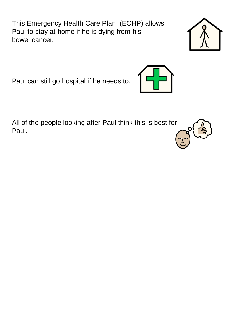This Emergency Health Care Plan (ECHP) allows Paul to stay at home if he is dying from his bowel cancer.

Paul can still go hospital if he needs to.

All of the people looking after Paul think this is best for Paul.